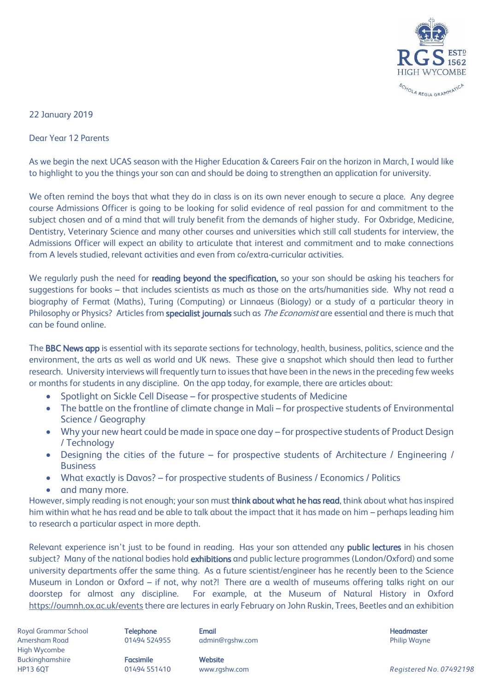

22 January 2019

Dear Year 12 Parents

As we begin the next UCAS season with the Higher Education & Careers Fair on the horizon in March, I would like to highlight to you the things your son can and should be doing to strengthen an application for university.

We often remind the boys that what they do in class is on its own never enough to secure a place. Any degree course Admissions Officer is going to be looking for solid evidence of real passion for and commitment to the subject chosen and of a mind that will truly benefit from the demands of higher study. For Oxbridge, Medicine, Dentistry, Veterinary Science and many other courses and universities which still call students for interview, the Admissions Officer will expect an ability to articulate that interest and commitment and to make connections from A levels studied, relevant activities and even from co/extra-curricular activities.

We regularly push the need for reading beyond the specification, so your son should be asking his teachers for suggestions for books – that includes scientists as much as those on the arts/humanities side. Why not read a biography of Fermat (Maths), Turing (Computing) or Linnaeus (Biology) or a study of a particular theory in Philosophy or Physics? Articles from **specialist journals** such as *The Economist* are essential and there is much that can be found online.

The BBC News app is essential with its separate sections for technology, health, business, politics, science and the environment, the arts as well as world and UK news. These give a snapshot which should then lead to further research. University interviews will frequently turn to issues that have been in the news in the preceding few weeks or months for students in any discipline. On the app today, for example, there are articles about:

- Spotlight on Sickle Cell Disease for prospective students of Medicine
- The battle on the frontline of climate change in Mali for prospective students of Environmental Science / Geography
- Why your new heart could be made in space one day for prospective students of Product Design / Technology
- Designing the cities of the future for prospective students of Architecture / Engineering / Business
- What exactly is Davos? for prospective students of Business / Economics / Politics
- and many more.

However, simply reading is not enough; your son must think about what he has read, think about what has inspired him within what he has read and be able to talk about the impact that it has made on him – perhaps leading him to research a particular aspect in more depth.

Relevant experience isn't just to be found in reading. Has your son attended any public lectures in his chosen subject? Many of the national bodies hold exhibitions and public lecture programmes (London/Oxford) and some university departments offer the same thing. As a future scientist/engineer has he recently been to the Science Museum in London or Oxford – if not, why not?! There are a wealth of museums offering talks right on our doorstep for almost any discipline. For example, at the Museum of Natural History in Oxford <https://oumnh.ox.ac.uk/events> there are lectures in early February on John Ruskin, Trees, Beetles and an exhibition

Royal Grammar School **Telephone Email Headmaster Email Headmaster Headmaster Headmaster** Amersham Road **8. Community 1948 124955** admin@rgshw.com **Community Community Philip Wayne** High Wycombe Buckinghamshire **Facsimile Facsimile** Website

HP13 6QT 01494 551410 www.rgshw.com *Registered No. 07492198*